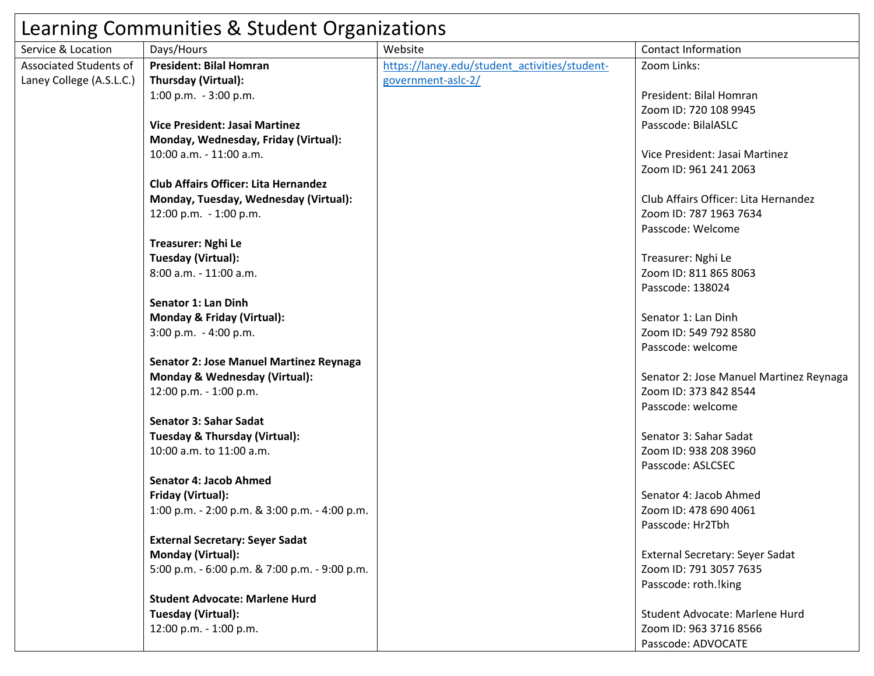| Learning Communities & Student Organizations |                                               |                                               |                                         |  |
|----------------------------------------------|-----------------------------------------------|-----------------------------------------------|-----------------------------------------|--|
| Service & Location                           | Days/Hours                                    | Website                                       | <b>Contact Information</b>              |  |
| <b>Associated Students of</b>                | <b>President: Bilal Homran</b>                | https://laney.edu/student activities/student- | Zoom Links:                             |  |
| Laney College (A.S.L.C.)                     | Thursday (Virtual):                           | government-asic-2/                            |                                         |  |
|                                              | 1:00 p.m. $-3:00$ p.m.                        |                                               | President: Bilal Homran                 |  |
|                                              |                                               |                                               | Zoom ID: 720 108 9945                   |  |
|                                              | <b>Vice President: Jasai Martinez</b>         |                                               | Passcode: BilalASLC                     |  |
|                                              | Monday, Wednesday, Friday (Virtual):          |                                               |                                         |  |
|                                              | 10:00 a.m. - 11:00 a.m.                       |                                               | Vice President: Jasai Martinez          |  |
|                                              |                                               |                                               | Zoom ID: 961 241 2063                   |  |
|                                              | <b>Club Affairs Officer: Lita Hernandez</b>   |                                               |                                         |  |
|                                              | Monday, Tuesday, Wednesday (Virtual):         |                                               | Club Affairs Officer: Lita Hernandez    |  |
|                                              | 12:00 p.m. - 1:00 p.m.                        |                                               | Zoom ID: 787 1963 7634                  |  |
|                                              |                                               |                                               | Passcode: Welcome                       |  |
|                                              | <b>Treasurer: Nghi Le</b>                     |                                               |                                         |  |
|                                              | Tuesday (Virtual):                            |                                               | Treasurer: Nghi Le                      |  |
|                                              | 8:00 a.m. - 11:00 a.m.                        |                                               | Zoom ID: 811 865 8063                   |  |
|                                              |                                               |                                               | Passcode: 138024                        |  |
|                                              | <b>Senator 1: Lan Dinh</b>                    |                                               |                                         |  |
|                                              | Monday & Friday (Virtual):                    |                                               | Senator 1: Lan Dinh                     |  |
|                                              | 3:00 p.m. - 4:00 p.m.                         |                                               | Zoom ID: 549 792 8580                   |  |
|                                              |                                               |                                               | Passcode: welcome                       |  |
|                                              | Senator 2: Jose Manuel Martinez Reynaga       |                                               |                                         |  |
|                                              | Monday & Wednesday (Virtual):                 |                                               | Senator 2: Jose Manuel Martinez Reynaga |  |
|                                              | 12:00 p.m. - 1:00 p.m.                        |                                               | Zoom ID: 373 842 8544                   |  |
|                                              |                                               |                                               | Passcode: welcome                       |  |
|                                              | <b>Senator 3: Sahar Sadat</b>                 |                                               |                                         |  |
|                                              | Tuesday & Thursday (Virtual):                 |                                               | Senator 3: Sahar Sadat                  |  |
|                                              | 10:00 a.m. to 11:00 a.m.                      |                                               | Zoom ID: 938 208 3960                   |  |
|                                              |                                               |                                               | Passcode: ASLCSEC                       |  |
|                                              | <b>Senator 4: Jacob Ahmed</b>                 |                                               |                                         |  |
|                                              | <b>Friday (Virtual):</b>                      |                                               | Senator 4: Jacob Ahmed                  |  |
|                                              | 1:00 p.m. - 2:00 p.m. & 3:00 p.m. - 4:00 p.m. |                                               | Zoom ID: 478 690 4061                   |  |
|                                              |                                               |                                               | Passcode: Hr2Tbh                        |  |
|                                              | <b>External Secretary: Seyer Sadat</b>        |                                               |                                         |  |
|                                              | <b>Monday (Virtual):</b>                      |                                               | External Secretary: Seyer Sadat         |  |
|                                              | 5:00 p.m. - 6:00 p.m. & 7:00 p.m. - 9:00 p.m. |                                               | Zoom ID: 791 3057 7635                  |  |
|                                              |                                               |                                               | Passcode: roth.!king                    |  |
|                                              | <b>Student Advocate: Marlene Hurd</b>         |                                               |                                         |  |
|                                              | Tuesday (Virtual):                            |                                               | Student Advocate: Marlene Hurd          |  |
|                                              | 12:00 p.m. - 1:00 p.m.                        |                                               | Zoom ID: 963 3716 8566                  |  |
|                                              |                                               |                                               | Passcode: ADVOCATE                      |  |